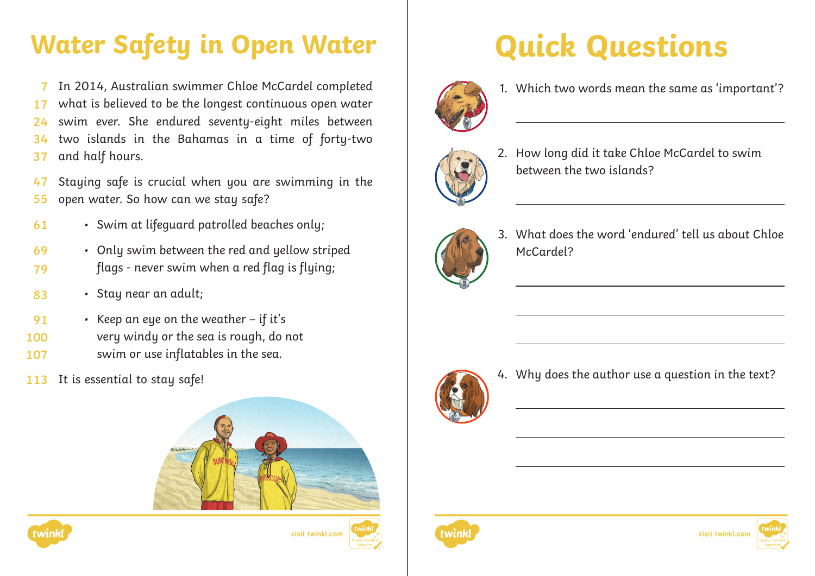## **Water Safety in Open Water | Quick Questions**

In 2014, Australian swimmer Chloe McCardel completed what is believed to be the longest continuous open water swim ever. She endured seventy-eight miles between two islands in the Bahamas in a time of forty-two and half hours. **7 17 24 34 37**

Staying safe is crucial when you are swimming in the open water. So how can we stay safe? **47 55**

- Swim at lifeguard patrolled beaches only; **61**
- Only swim between the red and yellow striped flags - never swim when a red flag is flying; **69 79**
- Stay near an adult; **83**
- Keep an eye on the weather if it's **91**
- very windy or the sea is rough, do not **100**
- swim or use inflatables in the sea. **107**
- It is essential to stay safe! **113**









1. Which two words mean the same as 'important'?



2. How long did it take Chloe McCardel to swim between the two islands?



3. What does the word 'endured' tell us about Chloe McCardel?



4. Why does the author use a question in the text?